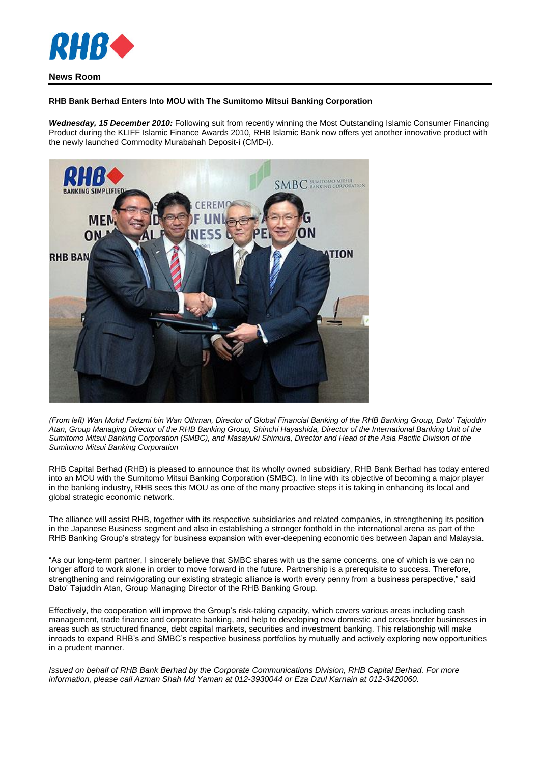

## **RHB Bank Berhad Enters Into MOU with The Sumitomo Mitsui Banking Corporation**

*Wednesday, 15 December 2010:* Following suit from recently winning the Most Outstanding Islamic Consumer Financing Product during the KLIFF Islamic Finance Awards 2010, RHB Islamic Bank now offers yet another innovative product with the newly launched Commodity Murabahah Deposit-i (CMD-i).



*(From left) Wan Mohd Fadzmi bin Wan Othman, Director of Global Financial Banking of the RHB Banking Group, Dato' Tajuddin Atan, Group Managing Director of the RHB Banking Group, Shinchi Hayashida, Director of the International Banking Unit of the Sumitomo Mitsui Banking Corporation (SMBC), and Masayuki Shimura, Director and Head of the Asia Pacific Division of the Sumitomo Mitsui Banking Corporation*

RHB Capital Berhad (RHB) is pleased to announce that its wholly owned subsidiary, RHB Bank Berhad has today entered into an MOU with the Sumitomo Mitsui Banking Corporation (SMBC). In line with its objective of becoming a major player in the banking industry, RHB sees this MOU as one of the many proactive steps it is taking in enhancing its local and global strategic economic network.

The alliance will assist RHB, together with its respective subsidiaries and related companies, in strengthening its position in the Japanese Business segment and also in establishing a stronger foothold in the international arena as part of the RHB Banking Group's strategy for business expansion with ever-deepening economic ties between Japan and Malaysia.

"As our long-term partner, I sincerely believe that SMBC shares with us the same concerns, one of which is we can no longer afford to work alone in order to move forward in the future. Partnership is a prerequisite to success. Therefore, strengthening and reinvigorating our existing strategic alliance is worth every penny from a business perspective," said Dato' Tajuddin Atan, Group Managing Director of the RHB Banking Group.

Effectively, the cooperation will improve the Group's risk-taking capacity, which covers various areas including cash management, trade finance and corporate banking, and help to developing new domestic and cross-border businesses in areas such as structured finance, debt capital markets, securities and investment banking. This relationship will make inroads to expand RHB's and SMBC's respective business portfolios by mutually and actively exploring new opportunities in a prudent manner.

*Issued on behalf of RHB Bank Berhad by the Corporate Communications Division, RHB Capital Berhad. For more information, please call Azman Shah Md Yaman at 012-3930044 or Eza Dzul Karnain at 012-3420060.*